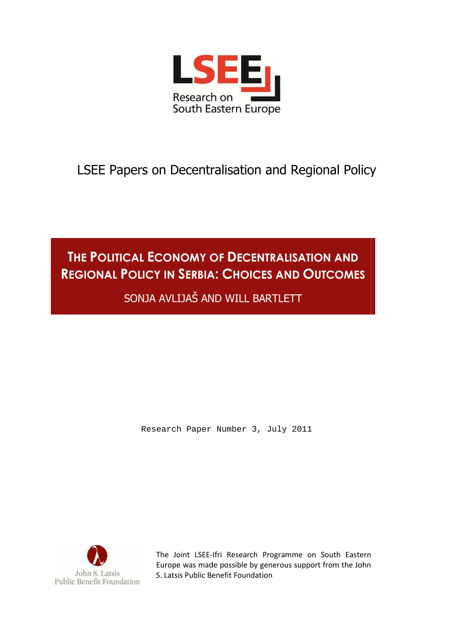

LSEE Papers on Decentralisation and Regional Policy

# **THE POLITICAL ECONOMY OF DECENTRALISATION AND REGIONAL POLICY IN SERBIA: CHOICES AND OUTCOMES**

SONJA AVLIJAŠ AND WILL BARTLETT

Research Paper Number 3, July 2011



The Joint LSEE-Ifri Research Programme on South Eastern Europe was made possible by generous support from the John S. Latsis Public Benefit Foundation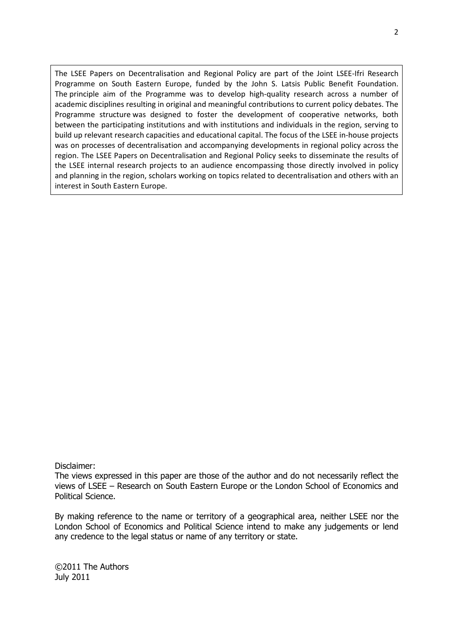The LSEE Papers on Decentralisation and Regional Policy are part of the Joint LSEE-Ifri Research Programme on South Eastern Europe, funded by the John S. Latsis Public Benefit Foundation. The principle aim of the Programme was to develop high-quality research across a number of academic disciplines resulting in original and meaningful contributions to current policy debates. The Programme structure was designed to foster the development of cooperative networks, both between the participating institutions and with institutions and individuals in the region, serving to build up relevant research capacities and educational capital. The focus of the LSEE in-house projects was on processes of decentralisation and accompanying developments in regional policy across the region. The LSEE Papers on Decentralisation and Regional Policy seeks to disseminate the results of the LSEE internal research projects to an audience encompassing those directly involved in policy and planning in the region, scholars working on topics related to decentralisation and others with an interest in South Eastern Europe.

#### Disclaimer:

The views expressed in this paper are those of the author and do not necessarily reflect the views of LSEE – Research on South Eastern Europe or the London School of Economics and Political Science.

By making reference to the name or territory of a geographical area, neither LSEE nor the London School of Economics and Political Science intend to make any judgements or lend any credence to the legal status or name of any territory or state.

©2011 The Authors July 2011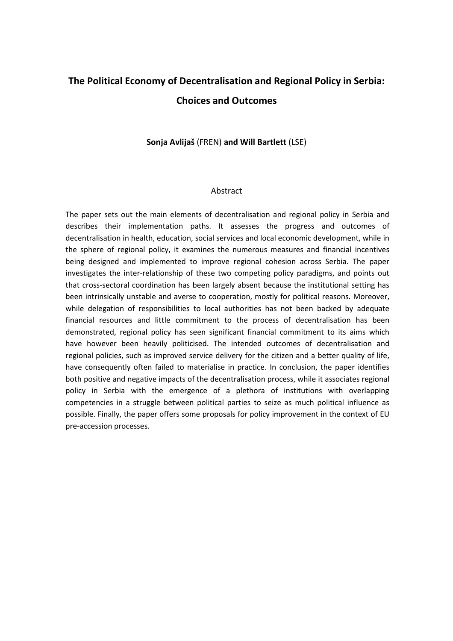## **The Political Economy of Decentralisation and Regional Policy in Serbia: Choices and Outcomes**

### **Sonja Avlijaš** (FREN) **and Will Bartlett** (LSE)

#### Abstract

The paper sets out the main elements of decentralisation and regional policy in Serbia and describes their implementation paths. It assesses the progress and outcomes of decentralisation in health, education, social services and local economic development, while in the sphere of regional policy, it examines the numerous measures and financial incentives being designed and implemented to improve regional cohesion across Serbia. The paper investigates the inter-relationship of these two competing policy paradigms, and points out that cross-sectoral coordination has been largely absent because the institutional setting has been intrinsically unstable and averse to cooperation, mostly for political reasons. Moreover, while delegation of responsibilities to local authorities has not been backed by adequate financial resources and little commitment to the process of decentralisation has been demonstrated, regional policy has seen significant financial commitment to its aims which have however been heavily politicised. The intended outcomes of decentralisation and regional policies, such as improved service delivery for the citizen and a better quality of life, have consequently often failed to materialise in practice. In conclusion, the paper identifies both positive and negative impacts of the decentralisation process, while it associates regional policy in Serbia with the emergence of a plethora of institutions with overlapping competencies in a struggle between political parties to seize as much political influence as possible. Finally, the paper offers some proposals for policy improvement in the context of EU pre-accession processes.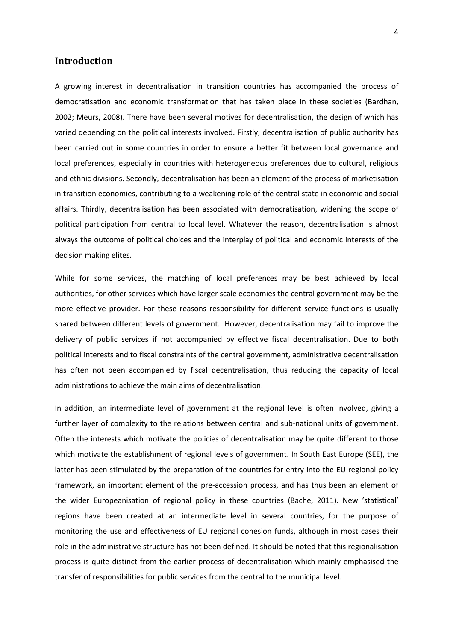## **Introduction**

A growing interest in decentralisation in transition countries has accompanied the process of democratisation and economic transformation that has taken place in these societies (Bardhan, 2002; Meurs, 2008). There have been several motives for decentralisation, the design of which has varied depending on the political interests involved. Firstly, decentralisation of public authority has been carried out in some countries in order to ensure a better fit between local governance and local preferences, especially in countries with heterogeneous preferences due to cultural, religious and ethnic divisions. Secondly, decentralisation has been an element of the process of marketisation in transition economies, contributing to a weakening role of the central state in economic and social affairs. Thirdly, decentralisation has been associated with democratisation, widening the scope of political participation from central to local level. Whatever the reason, decentralisation is almost always the outcome of political choices and the interplay of political and economic interests of the decision making elites.

While for some services, the matching of local preferences may be best achieved by local authorities, for other services which have larger scale economies the central government may be the more effective provider. For these reasons responsibility for different service functions is usually shared between different levels of government. However, decentralisation may fail to improve the delivery of public services if not accompanied by effective fiscal decentralisation. Due to both political interests and to fiscal constraints of the central government, administrative decentralisation has often not been accompanied by fiscal decentralisation, thus reducing the capacity of local administrations to achieve the main aims of decentralisation.

In addition, an intermediate level of government at the regional level is often involved, giving a further layer of complexity to the relations between central and sub-national units of government. Often the interests which motivate the policies of decentralisation may be quite different to those which motivate the establishment of regional levels of government. In South East Europe (SEE), the latter has been stimulated by the preparation of the countries for entry into the EU regional policy framework, an important element of the pre-accession process, and has thus been an element of the wider Europeanisation of regional policy in these countries (Bache, 2011). New 'statistical' regions have been created at an intermediate level in several countries, for the purpose of monitoring the use and effectiveness of EU regional cohesion funds, although in most cases their role in the administrative structure has not been defined. It should be noted that this regionalisation process is quite distinct from the earlier process of decentralisation which mainly emphasised the transfer of responsibilities for public services from the central to the municipal level.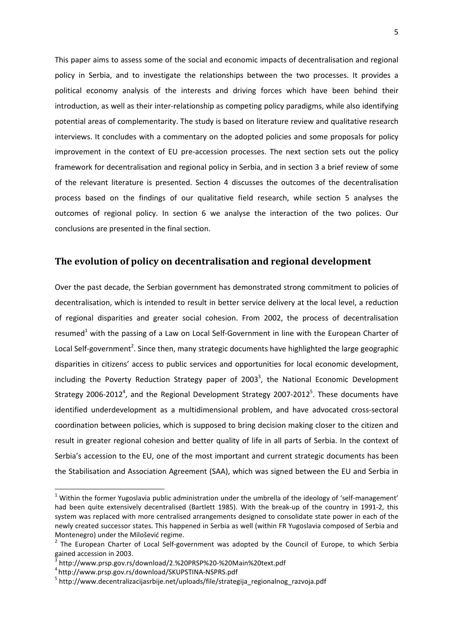This paper aims to assess some of the social and economic impacts of decentralisation and regional policy in Serbia, and to investigate the relationships between the two processes. It provides a political economy analysis of the interests and driving forces which have been behind their introduction, as well as their inter-relationship as competing policy paradigms, while also identifying potential areas of complementarity. The study is based on literature review and qualitative research interviews. It concludes with a commentary on the adopted policies and some proposals for policy improvement in the context of EU pre-accession processes. The next section sets out the policy framework for decentralisation and regional policy in Serbia, and in section 3 a brief review of some of the relevant literature is presented. Section 4 discusses the outcomes of the decentralisation process based on the findings of our qualitative field research, while section 5 analyses the outcomes of regional policy. In section 6 we analyse the interaction of the two polices. Our conclusions are presented in the final section.

## **The evolution of policy on decentralisation and regional development**

Over the past decade, the Serbian government has demonstrated strong commitment to policies of decentralisation, which is intended to result in better service delivery at the local level, a reduction of regional disparities and greater social cohesion. From 2002, the process of decentralisation resumed<sup>1</sup> with the passing of a Law on Local Self-Government in line with the European Charter of Local Self-government<sup>2</sup>. Since then, many strategic documents have highlighted the large geographic disparities in citizens' access to public services and opportunities for local economic development, including the Poverty Reduction Strategy paper of 2003<sup>3</sup>, the National Economic Development Strategy 2006-2012<sup>4</sup>, and the Regional Development Strategy 2007-2012<sup>5</sup>. These documents have identified underdevelopment as a multidimensional problem, and have advocated cross-sectoral coordination between policies, which is supposed to bring decision making closer to the citizen and result in greater regional cohesion and better quality of life in all parts of Serbia. In the context of Serbia's accession to the EU, one of the most important and current strategic documents has been the Stabilisation and Association Agreement (SAA), which was signed between the EU and Serbia in

 $\overline{a}$ 

<sup>&</sup>lt;sup>1</sup> Within the former Yugoslavia public administration under the umbrella of the ideology of 'self-management' had been quite extensively decentralised (Bartlett 1985). With the break-up of the country in 1991-2, this system was replaced with more centralised arrangements designed to consolidate state power in each of the newly created successor states. This happened in Serbia as well (within FR Yugoslavia composed of Serbia and Montenegro) under the Milošević regime.

 $2$  The European Charter of Local Self-government was adopted by the Council of Europe, to which Serbia gained accession in 2003.<br><sup>3</sup> http://www.nrsp.cov.rs/

http://www.prsp.gov.rs/download/2.%20PRSP%20-%20Main%20text.pdf

<sup>4</sup>http://www.prsp.gov.rs/download/SKUPSTINA-NSPRS.pdf

<sup>&</sup>lt;sup>5</sup> http://www.decentralizacijasrbije.net/uploads/file/strategija\_regionalnog\_razvoja.pdf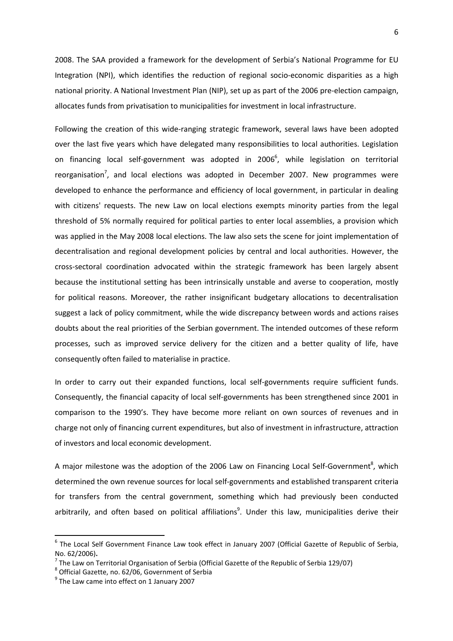2008. The SAA provided a framework for the development of Serbia's National Programme for EU Integration (NPI), which identifies the reduction of regional socio-economic disparities as a high national priority. A National Investment Plan (NIP), set up as part of the 2006 pre-election campaign, allocates funds from privatisation to municipalities for investment in local infrastructure.

Following the creation of this wide-ranging strategic framework, several laws have been adopted over the last five years which have delegated many responsibilities to local authorities. Legislation on financing local self-government was adopted in 2006<sup>6</sup>, while legislation on territorial reorganisation<sup>7</sup>, and local elections was adopted in December 2007. New programmes were developed to enhance the performance and efficiency of local government, in particular in dealing with citizens' requests. The new Law on local elections exempts minority parties from the legal threshold of 5% normally required for political parties to enter local assemblies, a provision which was applied in the May 2008 local elections. The law also sets the scene for joint implementation of decentralisation and regional development policies by central and local authorities. However, the cross-sectoral coordination advocated within the strategic framework has been largely absent because the institutional setting has been intrinsically unstable and averse to cooperation, mostly for political reasons. Moreover, the rather insignificant budgetary allocations to decentralisation suggest a lack of policy commitment, while the wide discrepancy between words and actions raises doubts about the real priorities of the Serbian government. The intended outcomes of these reform processes, such as improved service delivery for the citizen and a better quality of life, have consequently often failed to materialise in practice.

In order to carry out their expanded functions, local self-governments require sufficient funds. Consequently, the financial capacity of local self-governments has been strengthened since 2001 in comparison to the 1990's. They have become more reliant on own sources of revenues and in charge not only of financing current expenditures, but also of investment in infrastructure, attraction of investors and local economic development.

A major milestone was the adoption of the 2006 Law on Financing Local Self-Government<sup>8</sup>, which determined the own revenue sources for local self-governments and established transparent criteria for transfers from the central government, something which had previously been conducted arbitrarily, and often based on political affiliations<sup>9</sup>. Under this law, municipalities derive their

l

<sup>&</sup>lt;sup>6</sup> The Local Self Government Finance Law took effect in January 2007 (Official Gazette of Republic of Serbia, No. 62/2006)**.** 

<sup>&</sup>lt;sup>7</sup> The Law on Territorial Organisation of Serbia (Official Gazette of the Republic of Serbia 129/07)

 $^8$  Official Gazette, no. 62/06, Government of Serbia

 $<sup>9</sup>$  The Law came into effect on 1 January 2007</sup>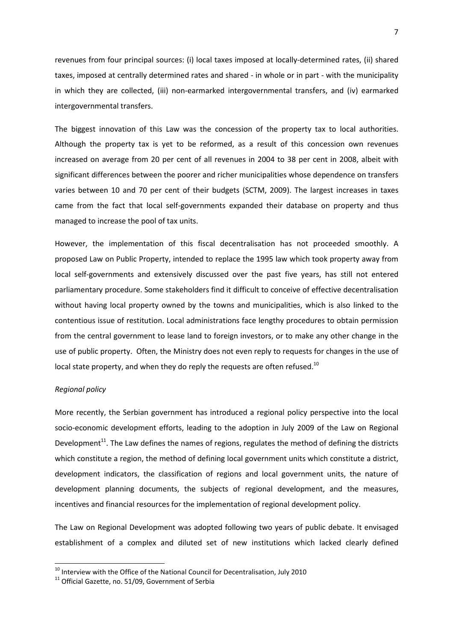revenues from four principal sources: (i) local taxes imposed at locally-determined rates, (ii) shared taxes, imposed at centrally determined rates and shared - in whole or in part - with the municipality in which they are collected, (iii) non-earmarked intergovernmental transfers, and (iv) earmarked intergovernmental transfers.

The biggest innovation of this Law was the concession of the property tax to local authorities. Although the property tax is yet to be reformed, as a result of this concession own revenues increased on average from 20 per cent of all revenues in 2004 to 38 per cent in 2008, albeit with significant differences between the poorer and richer municipalities whose dependence on transfers varies between 10 and 70 per cent of their budgets (SCTM, 2009). The largest increases in taxes came from the fact that local self-governments expanded their database on property and thus managed to increase the pool of tax units.

However, the implementation of this fiscal decentralisation has not proceeded smoothly. A proposed Law on Public Property, intended to replace the 1995 law which took property away from local self-governments and extensively discussed over the past five years, has still not entered parliamentary procedure. Some stakeholders find it difficult to conceive of effective decentralisation without having local property owned by the towns and municipalities, which is also linked to the contentious issue of restitution. Local administrations face lengthy procedures to obtain permission from the central government to lease land to foreign investors, or to make any other change in the use of public property. Often, the Ministry does not even reply to requests for changes in the use of local state property, and when they do reply the requests are often refused.<sup>10</sup>

#### *Regional policy*

 $\overline{\phantom{0}}$ 

More recently, the Serbian government has introduced a regional policy perspective into the local socio-economic development efforts, leading to the adoption in July 2009 of the Law on Regional Development<sup>11</sup>. The Law defines the names of regions, regulates the method of defining the districts which constitute a region, the method of defining local government units which constitute a district, development indicators, the classification of regions and local government units, the nature of development planning documents, the subjects of regional development, and the measures, incentives and financial resources for the implementation of regional development policy.

The Law on Regional Development was adopted following two years of public debate. It envisaged establishment of a complex and diluted set of new institutions which lacked clearly defined

 $10$  Interview with the Office of the National Council for Decentralisation, July 2010

<sup>&</sup>lt;sup>11</sup> Official Gazette, no. 51/09, Government of Serbia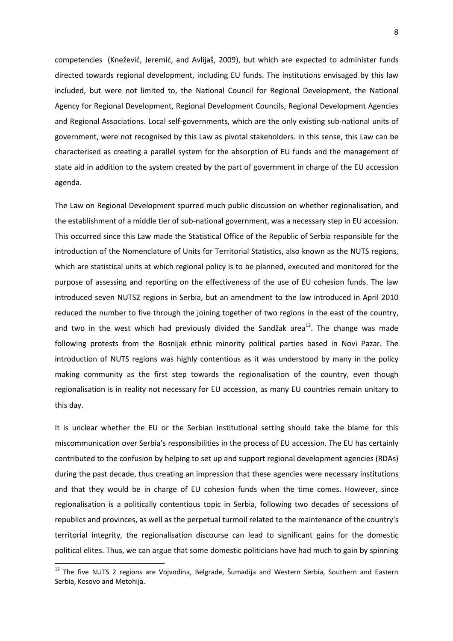competencies (Knežević, Jeremić, and Avlijaš, 2009), but which are expected to administer funds directed towards regional development, including EU funds. The institutions envisaged by this law included, but were not limited to, the National Council for Regional Development, the National Agency for Regional Development, Regional Development Councils, Regional Development Agencies and Regional Associations. Local self-governments, which are the only existing sub-national units of government, were not recognised by this Law as pivotal stakeholders. In this sense, this Law can be characterised as creating a parallel system for the absorption of EU funds and the management of state aid in addition to the system created by the part of government in charge of the EU accession agenda.

The Law on Regional Development spurred much public discussion on whether regionalisation, and the establishment of a middle tier of sub-national government, was a necessary step in EU accession. This occurred since this Law made the Statistical Office of the Republic of Serbia responsible for the introduction of the Nomenclature of Units for Territorial Statistics, also known as the NUTS regions, which are statistical units at which regional policy is to be planned, executed and monitored for the purpose of assessing and reporting on the effectiveness of the use of EU cohesion funds. The law introduced seven NUTS2 regions in Serbia, but an amendment to the law introduced in April 2010 reduced the number to five through the joining together of two regions in the east of the country, and two in the west which had previously divided the Sandžak area<sup>12</sup>. The change was made following protests from the Bosnijak ethnic minority political parties based in Novi Pazar. The introduction of NUTS regions was highly contentious as it was understood by many in the policy making community as the first step towards the regionalisation of the country, even though regionalisation is in reality not necessary for EU accession, as many EU countries remain unitary to this day.

It is unclear whether the EU or the Serbian institutional setting should take the blame for this miscommunication over Serbia's responsibilities in the process of EU accession. The EU has certainly contributed to the confusion by helping to set up and support regional development agencies (RDAs) during the past decade, thus creating an impression that these agencies were necessary institutions and that they would be in charge of EU cohesion funds when the time comes. However, since regionalisation is a politically contentious topic in Serbia, following two decades of secessions of republics and provinces, as well as the perpetual turmoil related to the maintenance of the country's territorial integrity, the regionalisation discourse can lead to significant gains for the domestic political elites. Thus, we can argue that some domestic politicians have had much to gain by spinning

 $\overline{\phantom{0}}$ 

<sup>&</sup>lt;sup>12</sup> The five NUTS 2 regions are Vojvodina, Belgrade, Šumadija and Western Serbia, Southern and Eastern Serbia, Kosovo and Metohija.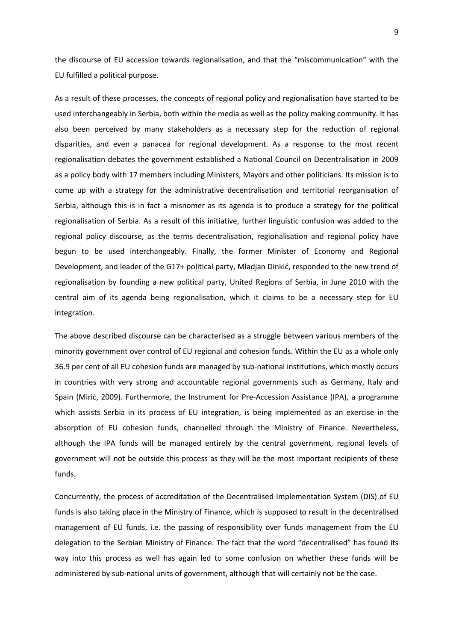the discourse of EU accession towards regionalisation, and that the "miscommunication" with the EU fulfilled a political purpose.

As a result of these processes, the concepts of regional policy and regionalisation have started to be used interchangeably in Serbia, both within the media as well as the policy making community. It has also been perceived by many stakeholders as a necessary step for the reduction of regional disparities, and even a panacea for regional development. As a response to the most recent regionalisation debates the government established a National Council on Decentralisation in 2009 as a policy body with 17 members including Ministers, Mayors and other politicians. Its mission is to come up with a strategy for the administrative decentralisation and territorial reorganisation of Serbia, although this is in fact a misnomer as its agenda is to produce a strategy for the political regionalisation of Serbia. As a result of this initiative, further linguistic confusion was added to the regional policy discourse, as the terms decentralisation, regionalisation and regional policy have begun to be used interchangeably. Finally, the former Minister of Economy and Regional Development, and leader of the G17+ political party, Mladjan Dinkić, responded to the new trend of regionalisation by founding a new political party, United Regions of Serbia, in June 2010 with the central aim of its agenda being regionalisation, which it claims to be a necessary step for EU integration.

The above described discourse can be characterised as a struggle between various members of the minority government over control of EU regional and cohesion funds. Within the EU as a whole only 36.9 per cent of all EU cohesion funds are managed by sub-national institutions, which mostly occurs in countries with very strong and accountable regional governments such as Germany, Italy and Spain (Mirić, 2009). Furthermore, the Instrument for Pre-Accession Assistance (IPA), a programme which assists Serbia in its process of EU integration, is being implemented as an exercise in the absorption of EU cohesion funds, channelled through the Ministry of Finance. Nevertheless, although the IPA funds will be managed entirely by the central government, regional levels of government will not be outside this process as they will be the most important recipients of these funds.

Concurrently, the process of accreditation of the Decentralised Implementation System (DIS) of EU funds is also taking place in the Ministry of Finance, which is supposed to result in the decentralised management of EU funds, i.e. the passing of responsibility over funds management from the EU delegation to the Serbian Ministry of Finance. The fact that the word "decentralised" has found its way into this process as well has again led to some confusion on whether these funds will be administered by sub-national units of government, although that will certainly not be the case.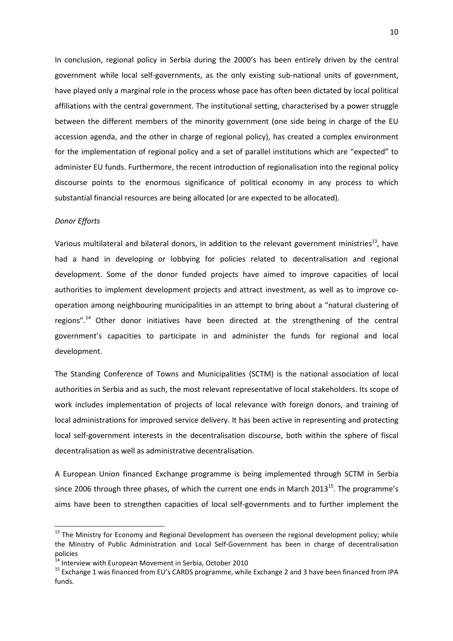In conclusion, regional policy in Serbia during the 2000's has been entirely driven by the central government while local self-governments, as the only existing sub-national units of government, have played only a marginal role in the process whose pace has often been dictated by local political affiliations with the central government. The institutional setting, characterised by a power struggle between the different members of the minority government (one side being in charge of the EU accession agenda, and the other in charge of regional policy), has created a complex environment for the implementation of regional policy and a set of parallel institutions which are "expected" to administer EU funds. Furthermore, the recent introduction of regionalisation into the regional policy discourse points to the enormous significance of political economy in any process to which substantial financial resources are being allocated (or are expected to be allocated).

#### *Donor Efforts*

l

Various multilateral and bilateral donors, in addition to the relevant government ministries<sup>13</sup>, have had a hand in developing or lobbying for policies related to decentralisation and regional development. Some of the donor funded projects have aimed to improve capacities of local authorities to implement development projects and attract investment, as well as to improve cooperation among neighbouring municipalities in an attempt to bring about a "natural clustering of regions".<sup>14</sup> Other donor initiatives have been directed at the strengthening of the central government's capacities to participate in and administer the funds for regional and local development.

The Standing Conference of Towns and Municipalities (SCTM) is the national association of local authorities in Serbia and as such, the most relevant representative of local stakeholders. Its scope of work includes implementation of projects of local relevance with foreign donors, and training of local administrations for improved service delivery. It has been active in representing and protecting local self-government interests in the decentralisation discourse, both within the sphere of fiscal decentralisation as well as administrative decentralisation.

A European Union financed Exchange programme is being implemented through SCTM in Serbia since 2006 through three phases, of which the current one ends in March  $2013^{15}$ . The programme's aims have been to strengthen capacities of local self-governments and to further implement the

<sup>&</sup>lt;sup>13</sup> The Ministry for Economy and Regional Development has overseen the regional development policy; while the Ministry of Public Administration and Local Self-Government has been in charge of decentralisation policies

<sup>&</sup>lt;sup>14</sup> Interview with European Movement in Serbia, October 2010

<sup>&</sup>lt;sup>15</sup> Exchange 1 was financed from EU's CARDS programme, while Exchange 2 and 3 have been financed from IPA funds.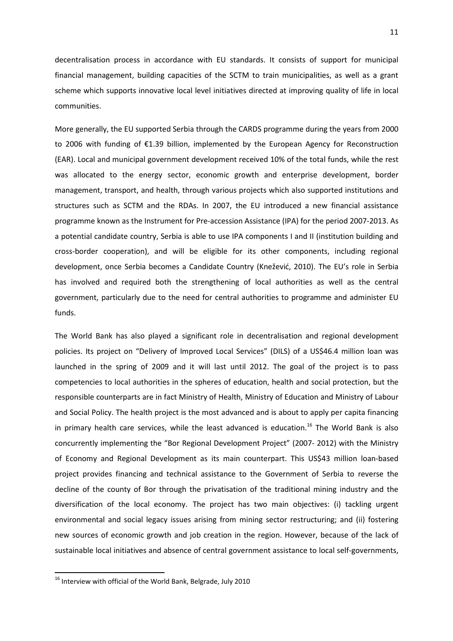decentralisation process in accordance with EU standards. It consists of support for municipal financial management, building capacities of the SCTM to train municipalities, as well as a grant scheme which supports innovative local level initiatives directed at improving quality of life in local communities.

More generally, the EU supported Serbia through the CARDS programme during the years from 2000 to 2006 with funding of €1.39 billion, implemented by the European Agency for Reconstruction (EAR). Local and municipal government development received 10% of the total funds, while the rest was allocated to the energy sector, economic growth and enterprise development, border management, transport, and health, through various projects which also supported institutions and structures such as SCTM and the RDAs. In 2007, the EU introduced a new financial assistance programme known as the Instrument for Pre-accession Assistance (IPA) for the period 2007-2013. As a potential candidate country, Serbia is able to use IPA components I and II (institution building and cross-border cooperation), and will be eligible for its other components, including regional development, once Serbia becomes a Candidate Country (Knežević, 2010). The EU's role in Serbia has involved and required both the strengthening of local authorities as well as the central government, particularly due to the need for central authorities to programme and administer EU funds.

The World Bank has also played a significant role in decentralisation and regional development policies. Its project on "Delivery of Improved Local Services" (DILS) of a US\$46.4 million loan was launched in the spring of 2009 and it will last until 2012. The goal of the project is to pass competencies to local authorities in the spheres of education, health and social protection, but the responsible counterparts are in fact Ministry of Health, Ministry of Education and Ministry of Labour and Social Policy. The health project is the most advanced and is about to apply per capita financing in primary health care services, while the least advanced is education.<sup>16</sup> The World Bank is also concurrently implementing the "Bor Regional Development Project" (2007- 2012) with the Ministry of Economy and Regional Development as its main counterpart. This US\$43 million loan-based project provides financing and technical assistance to the Government of Serbia to reverse the decline of the county of Bor through the privatisation of the traditional mining industry and the diversification of the local economy. The project has two main objectives: (i) tackling urgent environmental and social legacy issues arising from mining sector restructuring; and (ii) fostering new sources of economic growth and job creation in the region. However, because of the lack of sustainable local initiatives and absence of central government assistance to local self-governments,

 $\overline{a}$ 

<sup>&</sup>lt;sup>16</sup> Interview with official of the World Bank, Belgrade, July 2010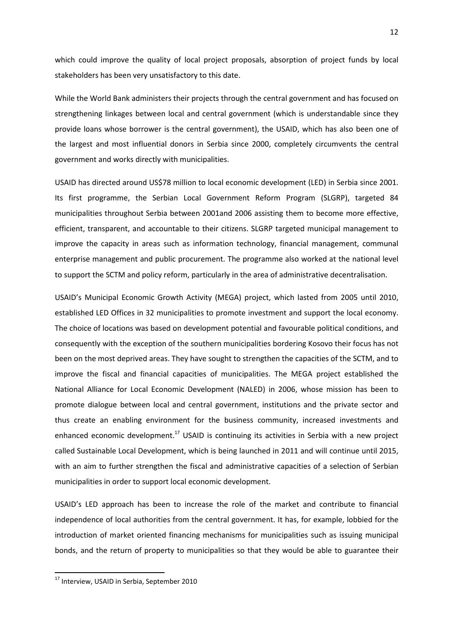which could improve the quality of local project proposals, absorption of project funds by local stakeholders has been very unsatisfactory to this date.

While the World Bank administers their projects through the central government and has focused on strengthening linkages between local and central government (which is understandable since they provide loans whose borrower is the central government), the USAID, which has also been one of the largest and most influential donors in Serbia since 2000, completely circumvents the central government and works directly with municipalities.

USAID has directed around US\$78 million to local economic development (LED) in Serbia since 2001. Its first programme, the Serbian Local Government Reform Program (SLGRP), targeted 84 municipalities throughout Serbia between 2001and 2006 assisting them to become more effective, efficient, transparent, and accountable to their citizens. SLGRP targeted municipal management to improve the capacity in areas such as information technology, financial management, communal enterprise management and public procurement. The programme also worked at the national level to support the SCTM and policy reform, particularly in the area of administrative decentralisation.

USAID's Municipal Economic Growth Activity (MEGA) project, which lasted from 2005 until 2010, established LED Offices in 32 municipalities to promote investment and support the local economy. The choice of locations was based on development potential and favourable political conditions, and consequently with the exception of the southern municipalities bordering Kosovo their focus has not been on the most deprived areas. They have sought to strengthen the capacities of the SCTM, and to improve the fiscal and financial capacities of municipalities. The MEGA project established the National Alliance for Local Economic Development (NALED) in 2006, whose mission has been to promote dialogue between local and central government, institutions and the private sector and thus create an enabling environment for the business community, increased investments and enhanced economic development.<sup>17</sup> USAID is continuing its activities in Serbia with a new project called Sustainable Local Development, which is being launched in 2011 and will continue until 2015, with an aim to further strengthen the fiscal and administrative capacities of a selection of Serbian municipalities in order to support local economic development.

USAID's LED approach has been to increase the role of the market and contribute to financial independence of local authorities from the central government. It has, for example, lobbied for the introduction of market oriented financing mechanisms for municipalities such as issuing municipal bonds, and the return of property to municipalities so that they would be able to guarantee their

 $\overline{a}$ 

<sup>&</sup>lt;sup>17</sup> Interview, USAID in Serbia, September 2010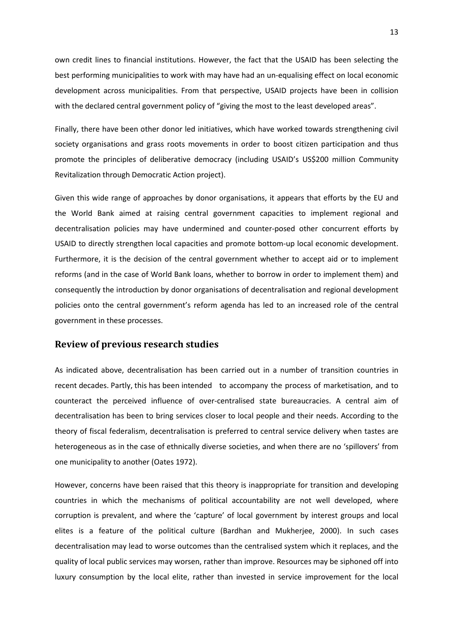own credit lines to financial institutions. However, the fact that the USAID has been selecting the best performing municipalities to work with may have had an un-equalising effect on local economic development across municipalities. From that perspective, USAID projects have been in collision with the declared central government policy of "giving the most to the least developed areas".

Finally, there have been other donor led initiatives, which have worked towards strengthening civil society organisations and grass roots movements in order to boost citizen participation and thus promote the principles of deliberative democracy (including USAID's US\$200 million Community Revitalization through Democratic Action project).

Given this wide range of approaches by donor organisations, it appears that efforts by the EU and the World Bank aimed at raising central government capacities to implement regional and decentralisation policies may have undermined and counter-posed other concurrent efforts by USAID to directly strengthen local capacities and promote bottom-up local economic development. Furthermore, it is the decision of the central government whether to accept aid or to implement reforms (and in the case of World Bank loans, whether to borrow in order to implement them) and consequently the introduction by donor organisations of decentralisation and regional development policies onto the central government's reform agenda has led to an increased role of the central government in these processes.

#### **Review of previous research studies**

As indicated above, decentralisation has been carried out in a number of transition countries in recent decades. Partly, this has been intended to accompany the process of marketisation, and to counteract the perceived influence of over-centralised state bureaucracies. A central aim of decentralisation has been to bring services closer to local people and their needs. According to the theory of fiscal federalism, decentralisation is preferred to central service delivery when tastes are heterogeneous as in the case of ethnically diverse societies, and when there are no 'spillovers' from one municipality to another (Oates 1972).

However, concerns have been raised that this theory is inappropriate for transition and developing countries in which the mechanisms of political accountability are not well developed, where corruption is prevalent, and where the 'capture' of local government by interest groups and local elites is a feature of the political culture (Bardhan and Mukherjee, 2000). In such cases decentralisation may lead to worse outcomes than the centralised system which it replaces, and the quality of local public services may worsen, rather than improve. Resources may be siphoned off into luxury consumption by the local elite, rather than invested in service improvement for the local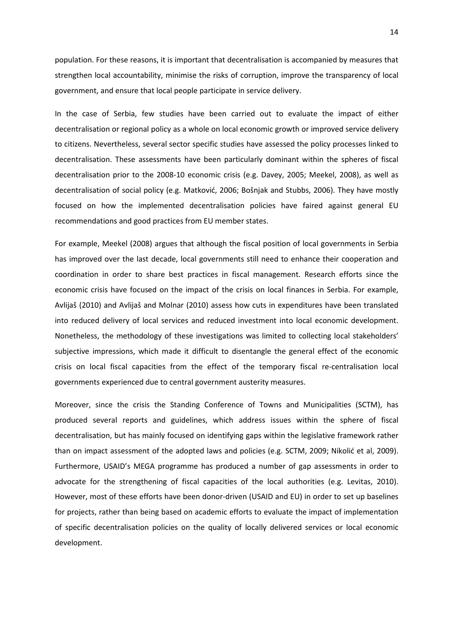population. For these reasons, it is important that decentralisation is accompanied by measures that strengthen local accountability, minimise the risks of corruption, improve the transparency of local government, and ensure that local people participate in service delivery.

In the case of Serbia, few studies have been carried out to evaluate the impact of either decentralisation or regional policy as a whole on local economic growth or improved service delivery to citizens. Nevertheless, several sector specific studies have assessed the policy processes linked to decentralisation. These assessments have been particularly dominant within the spheres of fiscal decentralisation prior to the 2008-10 economic crisis (e.g. Davey, 2005; Meekel, 2008), as well as decentralisation of social policy (e.g. Matković, 2006; Bošnjak and Stubbs, 2006). They have mostly focused on how the implemented decentralisation policies have faired against general EU recommendations and good practices from EU member states.

For example, Meekel (2008) argues that although the fiscal position of local governments in Serbia has improved over the last decade, local governments still need to enhance their cooperation and coordination in order to share best practices in fiscal management. Research efforts since the economic crisis have focused on the impact of the crisis on local finances in Serbia. For example, Avlijaš (2010) and Avlijaš and Molnar (2010) assess how cuts in expenditures have been translated into reduced delivery of local services and reduced investment into local economic development. Nonetheless, the methodology of these investigations was limited to collecting local stakeholders' subjective impressions, which made it difficult to disentangle the general effect of the economic crisis on local fiscal capacities from the effect of the temporary fiscal re-centralisation local governments experienced due to central government austerity measures.

Moreover, since the crisis the Standing Conference of Towns and Municipalities (SCTM), has produced several reports and guidelines, which address issues within the sphere of fiscal decentralisation, but has mainly focused on identifying gaps within the legislative framework rather than on impact assessment of the adopted laws and policies (e.g. SCTM, 2009; Nikolić et al, 2009). Furthermore, USAID's MEGA programme has produced a number of gap assessments in order to advocate for the strengthening of fiscal capacities of the local authorities (e.g. Levitas, 2010). However, most of these efforts have been donor-driven (USAID and EU) in order to set up baselines for projects, rather than being based on academic efforts to evaluate the impact of implementation of specific decentralisation policies on the quality of locally delivered services or local economic development.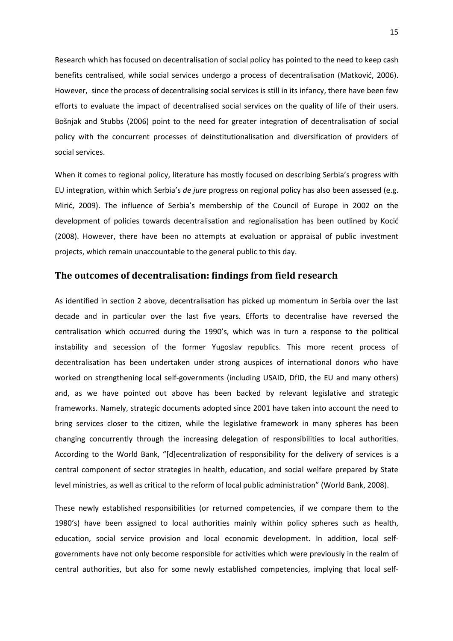Research which has focused on decentralisation of social policy has pointed to the need to keep cash benefits centralised, while social services undergo a process of decentralisation (Matković, 2006). However, since the process of decentralising social services is still in its infancy, there have been few efforts to evaluate the impact of decentralised social services on the quality of life of their users. Bošnjak and Stubbs (2006) point to the need for greater integration of decentralisation of social policy with the concurrent processes of deinstitutionalisation and diversification of providers of social services.

When it comes to regional policy, literature has mostly focused on describing Serbia's progress with EU integration, within which Serbia's *de jure* progress on regional policy has also been assessed (e.g. Mirić, 2009). The influence of Serbia's membership of the Council of Europe in 2002 on the development of policies towards decentralisation and regionalisation has been outlined by Kocić (2008). However, there have been no attempts at evaluation or appraisal of public investment projects, which remain unaccountable to the general public to this day.

#### **The outcomes of decentralisation: findings from field research**

As identified in section 2 above, decentralisation has picked up momentum in Serbia over the last decade and in particular over the last five years. Efforts to decentralise have reversed the centralisation which occurred during the 1990's, which was in turn a response to the political instability and secession of the former Yugoslav republics. This more recent process of decentralisation has been undertaken under strong auspices of international donors who have worked on strengthening local self-governments (including USAID, DfID, the EU and many others) and, as we have pointed out above has been backed by relevant legislative and strategic frameworks. Namely, strategic documents adopted since 2001 have taken into account the need to bring services closer to the citizen, while the legislative framework in many spheres has been changing concurrently through the increasing delegation of responsibilities to local authorities. According to the World Bank, "[d]ecentralization of responsibility for the delivery of services is a central component of sector strategies in health, education, and social welfare prepared by State level ministries, as well as critical to the reform of local public administration" (World Bank, 2008).

These newly established responsibilities (or returned competencies, if we compare them to the 1980's) have been assigned to local authorities mainly within policy spheres such as health, education, social service provision and local economic development. In addition, local selfgovernments have not only become responsible for activities which were previously in the realm of central authorities, but also for some newly established competencies, implying that local self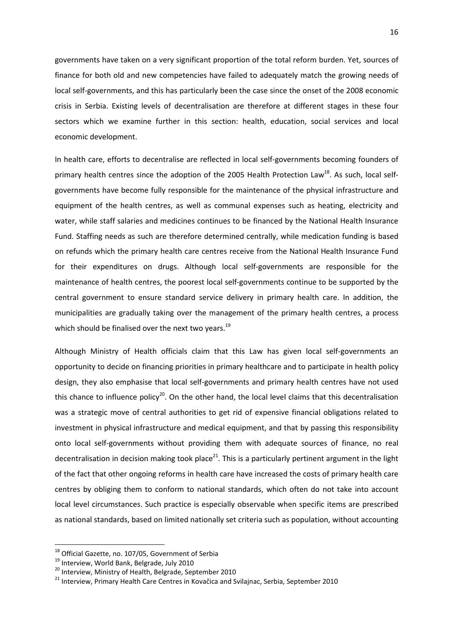governments have taken on a very significant proportion of the total reform burden. Yet, sources of finance for both old and new competencies have failed to adequately match the growing needs of local self-governments, and this has particularly been the case since the onset of the 2008 economic crisis in Serbia. Existing levels of decentralisation are therefore at different stages in these four sectors which we examine further in this section: health, education, social services and local economic development.

In health care, efforts to decentralise are reflected in local self-governments becoming founders of primary health centres since the adoption of the 2005 Health Protection Law<sup>18</sup>. As such, local selfgovernments have become fully responsible for the maintenance of the physical infrastructure and equipment of the health centres, as well as communal expenses such as heating, electricity and water, while staff salaries and medicines continues to be financed by the National Health Insurance Fund. Staffing needs as such are therefore determined centrally, while medication funding is based on refunds which the primary health care centres receive from the National Health Insurance Fund for their expenditures on drugs. Although local self-governments are responsible for the maintenance of health centres, the poorest local self-governments continue to be supported by the central government to ensure standard service delivery in primary health care. In addition, the municipalities are gradually taking over the management of the primary health centres, a process which should be finalised over the next two years. $^{19}$ 

Although Ministry of Health officials claim that this Law has given local self-governments an opportunity to decide on financing priorities in primary healthcare and to participate in health policy design, they also emphasise that local self-governments and primary health centres have not used this chance to influence policy<sup>20</sup>. On the other hand, the local level claims that this decentralisation was a strategic move of central authorities to get rid of expensive financial obligations related to investment in physical infrastructure and medical equipment, and that by passing this responsibility onto local self-governments without providing them with adequate sources of finance, no real decentralisation in decision making took place<sup>21</sup>. This is a particularly pertinent argument in the light of the fact that other ongoing reforms in health care have increased the costs of primary health care centres by obliging them to conform to national standards, which often do not take into account local level circumstances. Such practice is especially observable when specific items are prescribed as national standards, based on limited nationally set criteria such as population, without accounting

 $\overline{\phantom{0}}$ 

<sup>&</sup>lt;sup>18</sup> Official Gazette, no. 107/05, Government of Serbia

<sup>&</sup>lt;sup>19</sup> Interview, World Bank, Belgrade, July 2010

<sup>&</sup>lt;sup>20</sup> Interview, Ministry of Health, Belgrade, September 2010

<sup>&</sup>lt;sup>21</sup> Interview, Primary Health Care Centres in Kovačica and Svilajnac, Serbia, September 2010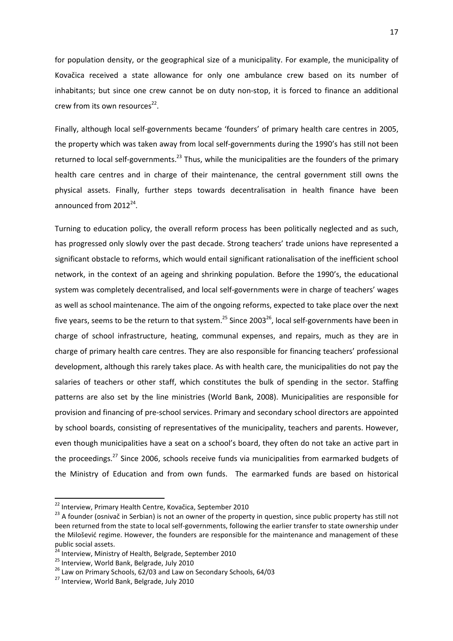for population density, or the geographical size of a municipality. For example, the municipality of Kovačica received a state allowance for only one ambulance crew based on its number of inhabitants; but since one crew cannot be on duty non-stop, it is forced to finance an additional crew from its own resources $^{22}$ .

Finally, although local self-governments became 'founders' of primary health care centres in 2005, the property which was taken away from local self-governments during the 1990's has still not been returned to local self-governments.<sup>23</sup> Thus, while the municipalities are the founders of the primary health care centres and in charge of their maintenance, the central government still owns the physical assets. Finally, further steps towards decentralisation in health finance have been announced from 2012<sup>24</sup>.

Turning to education policy, the overall reform process has been politically neglected and as such, has progressed only slowly over the past decade. Strong teachers' trade unions have represented a significant obstacle to reforms, which would entail significant rationalisation of the inefficient school network, in the context of an ageing and shrinking population. Before the 1990's, the educational system was completely decentralised, and local self-governments were in charge of teachers' wages as well as school maintenance. The aim of the ongoing reforms, expected to take place over the next five years, seems to be the return to that system.<sup>25</sup> Since 2003<sup>26</sup>, local self-governments have been in charge of school infrastructure, heating, communal expenses, and repairs, much as they are in charge of primary health care centres. They are also responsible for financing teachers' professional development, although this rarely takes place. As with health care, the municipalities do not pay the salaries of teachers or other staff, which constitutes the bulk of spending in the sector. Staffing patterns are also set by the line ministries (World Bank, 2008). Municipalities are responsible for provision and financing of pre-school services. Primary and secondary school directors are appointed by school boards, consisting of representatives of the municipality, teachers and parents. However, even though municipalities have a seat on a school's board, they often do not take an active part in the proceedings.<sup>27</sup> Since 2006, schools receive funds via municipalities from earmarked budgets of the Ministry of Education and from own funds. The earmarked funds are based on historical

l

<sup>22</sup> Interview, Primary Health Centre, Kovačica, September 2010

<sup>&</sup>lt;sup>23</sup> A founder (osnivač in Serbian) is not an owner of the property in question, since public property has still not been returned from the state to local self-governments, following the earlier transfer to state ownership under the Milošević regime. However, the founders are responsible for the maintenance and management of these public social assets.

<sup>&</sup>lt;sup>24</sup> Interview, Ministry of Health, Belgrade, September 2010

<sup>&</sup>lt;sup>25</sup> Interview, World Bank, Belgrade, July 2010

<sup>&</sup>lt;sup>26</sup> Law on Primary Schools, 62/03 and Law on Secondary Schools, 64/03

<sup>27</sup> Interview, World Bank, Belgrade, July 2010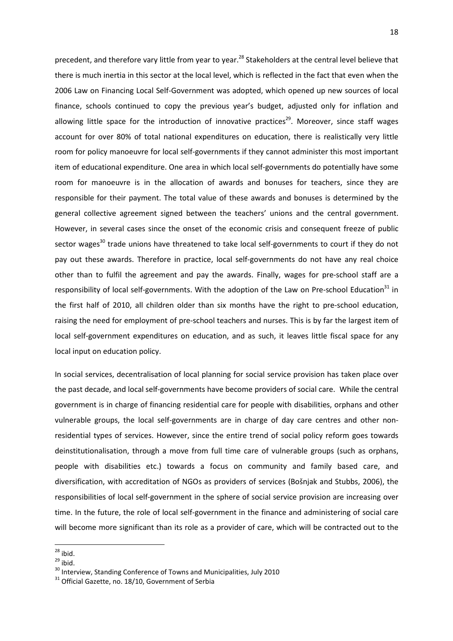precedent, and therefore vary little from year to year.<sup>28</sup> Stakeholders at the central level believe that there is much inertia in this sector at the local level, which is reflected in the fact that even when the 2006 Law on Financing Local Self-Government was adopted, which opened up new sources of local finance, schools continued to copy the previous year's budget, adjusted only for inflation and allowing little space for the introduction of innovative practices<sup>29</sup>. Moreover, since staff wages account for over 80% of total national expenditures on education, there is realistically very little room for policy manoeuvre for local self-governments if they cannot administer this most important item of educational expenditure. One area in which local self-governments do potentially have some room for manoeuvre is in the allocation of awards and bonuses for teachers, since they are responsible for their payment. The total value of these awards and bonuses is determined by the general collective agreement signed between the teachers' unions and the central government. However, in several cases since the onset of the economic crisis and consequent freeze of public sector wages<sup>30</sup> trade unions have threatened to take local self-governments to court if they do not pay out these awards. Therefore in practice, local self-governments do not have any real choice other than to fulfil the agreement and pay the awards. Finally, wages for pre-school staff are a responsibility of local self-governments. With the adoption of the Law on Pre-school Education<sup>31</sup> in the first half of 2010, all children older than six months have the right to pre-school education, raising the need for employment of pre-school teachers and nurses. This is by far the largest item of local self-government expenditures on education, and as such, it leaves little fiscal space for any local input on education policy.

In social services, decentralisation of local planning for social service provision has taken place over the past decade, and local self-governments have become providers of social care. While the central government is in charge of financing residential care for people with disabilities, orphans and other vulnerable groups, the local self-governments are in charge of day care centres and other nonresidential types of services. However, since the entire trend of social policy reform goes towards deinstitutionalisation, through a move from full time care of vulnerable groups (such as orphans, people with disabilities etc.) towards a focus on community and family based care, and diversification, with accreditation of NGOs as providers of services (Bošnjak and Stubbs, 2006), the responsibilities of local self-government in the sphere of social service provision are increasing over time. In the future, the role of local self-government in the finance and administering of social care will become more significant than its role as a provider of care, which will be contracted out to the

 $\overline{\phantom{0}}$ 

 $^{28}$  ibid.

 $29$  ibid.

<sup>30</sup> Interview, Standing Conference of Towns and Municipalities, July 2010

 $31$  Official Gazette, no. 18/10, Government of Serbia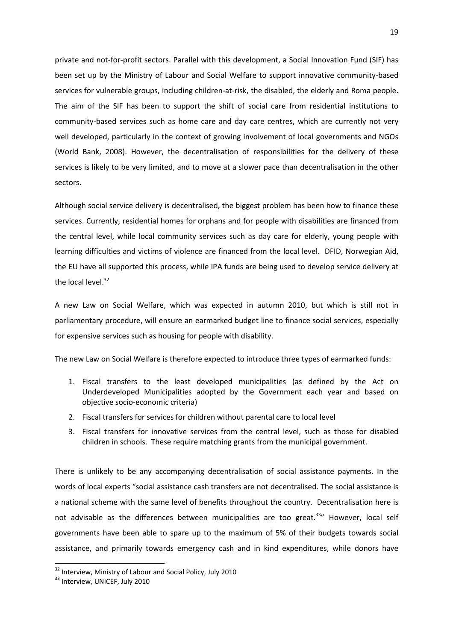private and not-for-profit sectors. Parallel with this development, a Social Innovation Fund (SIF) has been set up by the Ministry of Labour and Social Welfare to support innovative community-based services for vulnerable groups, including children-at-risk, the disabled, the elderly and Roma people. The aim of the SIF has been to support the shift of social care from residential institutions to community-based services such as home care and day care centres, which are currently not very well developed, particularly in the context of growing involvement of local governments and NGOs (World Bank, 2008). However, the decentralisation of responsibilities for the delivery of these services is likely to be very limited, and to move at a slower pace than decentralisation in the other sectors.

Although social service delivery is decentralised, the biggest problem has been how to finance these services. Currently, residential homes for orphans and for people with disabilities are financed from the central level, while local community services such as day care for elderly, young people with learning difficulties and victims of violence are financed from the local level. DFID, Norwegian Aid, the EU have all supported this process, while IPA funds are being used to develop service delivery at the local level. $32$ 

A new Law on Social Welfare, which was expected in autumn 2010, but which is still not in parliamentary procedure, will ensure an earmarked budget line to finance social services, especially for expensive services such as housing for people with disability.

The new Law on Social Welfare is therefore expected to introduce three types of earmarked funds:

- 1. Fiscal transfers to the least developed municipalities (as defined by the Act on Underdeveloped Municipalities adopted by the Government each year and based on objective socio-economic criteria)
- 2. Fiscal transfers for services for children without parental care to local level
- 3. Fiscal transfers for innovative services from the central level, such as those for disabled children in schools. These require matching grants from the municipal government.

There is unlikely to be any accompanying decentralisation of social assistance payments. In the words of local experts "social assistance cash transfers are not decentralised. The social assistance is a national scheme with the same level of benefits throughout the country. Decentralisation here is not advisable as the differences between municipalities are too great.<sup>33</sup>" However, local self governments have been able to spare up to the maximum of 5% of their budgets towards social assistance, and primarily towards emergency cash and in kind expenditures, while donors have

 $\overline{\phantom{0}}$ 

<sup>&</sup>lt;sup>32</sup> Interview, Ministry of Labour and Social Policy, July 2010

<sup>&</sup>lt;sup>33</sup> Interview, UNICEF, July 2010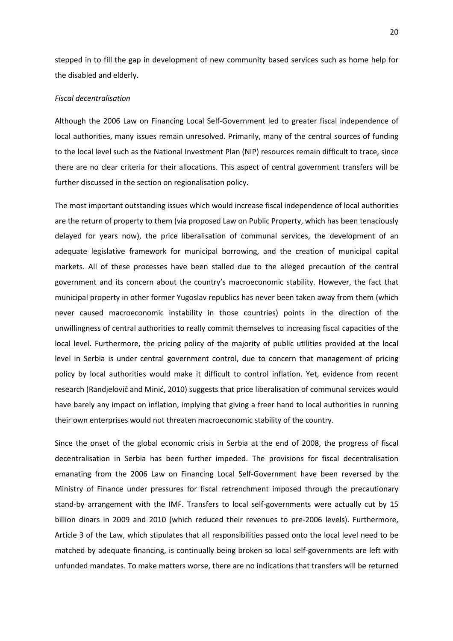stepped in to fill the gap in development of new community based services such as home help for the disabled and elderly.

#### *Fiscal decentralisation*

Although the 2006 Law on Financing Local Self-Government led to greater fiscal independence of local authorities, many issues remain unresolved. Primarily, many of the central sources of funding to the local level such as the National Investment Plan (NIP) resources remain difficult to trace, since there are no clear criteria for their allocations. This aspect of central government transfers will be further discussed in the section on regionalisation policy.

The most important outstanding issues which would increase fiscal independence of local authorities are the return of property to them (via proposed Law on Public Property, which has been tenaciously delayed for years now), the price liberalisation of communal services, the development of an adequate legislative framework for municipal borrowing, and the creation of municipal capital markets. All of these processes have been stalled due to the alleged precaution of the central government and its concern about the country's macroeconomic stability. However, the fact that municipal property in other former Yugoslav republics has never been taken away from them (which never caused macroeconomic instability in those countries) points in the direction of the unwillingness of central authorities to really commit themselves to increasing fiscal capacities of the local level. Furthermore, the pricing policy of the majority of public utilities provided at the local level in Serbia is under central government control, due to concern that management of pricing policy by local authorities would make it difficult to control inflation. Yet, evidence from recent research (Randjelović and Minić, 2010) suggests that price liberalisation of communal services would have barely any impact on inflation, implying that giving a freer hand to local authorities in running their own enterprises would not threaten macroeconomic stability of the country.

Since the onset of the global economic crisis in Serbia at the end of 2008, the progress of fiscal decentralisation in Serbia has been further impeded. The provisions for fiscal decentralisation emanating from the 2006 Law on Financing Local Self-Government have been reversed by the Ministry of Finance under pressures for fiscal retrenchment imposed through the precautionary stand-by arrangement with the IMF. Transfers to local self-governments were actually cut by 15 billion dinars in 2009 and 2010 (which reduced their revenues to pre-2006 levels). Furthermore, Article 3 of the Law, which stipulates that all responsibilities passed onto the local level need to be matched by adequate financing, is continually being broken so local self-governments are left with unfunded mandates. To make matters worse, there are no indications that transfers will be returned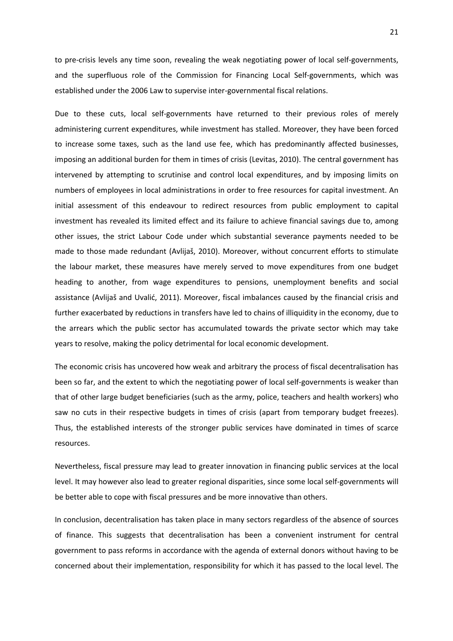to pre-crisis levels any time soon, revealing the weak negotiating power of local self-governments, and the superfluous role of the Commission for Financing Local Self-governments, which was established under the 2006 Law to supervise inter-governmental fiscal relations.

Due to these cuts, local self-governments have returned to their previous roles of merely administering current expenditures, while investment has stalled. Moreover, they have been forced to increase some taxes, such as the land use fee, which has predominantly affected businesses, imposing an additional burden for them in times of crisis (Levitas, 2010). The central government has intervened by attempting to scrutinise and control local expenditures, and by imposing limits on numbers of employees in local administrations in order to free resources for capital investment. An initial assessment of this endeavour to redirect resources from public employment to capital investment has revealed its limited effect and its failure to achieve financial savings due to, among other issues, the strict Labour Code under which substantial severance payments needed to be made to those made redundant (Avlijaš, 2010). Moreover, without concurrent efforts to stimulate the labour market, these measures have merely served to move expenditures from one budget heading to another, from wage expenditures to pensions, unemployment benefits and social assistance (Avlijaš and Uvalić, 2011). Moreover, fiscal imbalances caused by the financial crisis and further exacerbated by reductions in transfers have led to chains of illiquidity in the economy, due to the arrears which the public sector has accumulated towards the private sector which may take years to resolve, making the policy detrimental for local economic development.

The economic crisis has uncovered how weak and arbitrary the process of fiscal decentralisation has been so far, and the extent to which the negotiating power of local self-governments is weaker than that of other large budget beneficiaries (such as the army, police, teachers and health workers) who saw no cuts in their respective budgets in times of crisis (apart from temporary budget freezes). Thus, the established interests of the stronger public services have dominated in times of scarce resources.

Nevertheless, fiscal pressure may lead to greater innovation in financing public services at the local level. It may however also lead to greater regional disparities, since some local self-governments will be better able to cope with fiscal pressures and be more innovative than others.

In conclusion, decentralisation has taken place in many sectors regardless of the absence of sources of finance. This suggests that decentralisation has been a convenient instrument for central government to pass reforms in accordance with the agenda of external donors without having to be concerned about their implementation, responsibility for which it has passed to the local level. The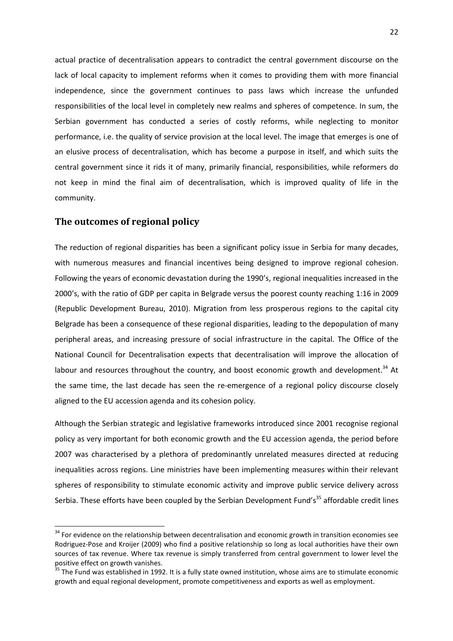actual practice of decentralisation appears to contradict the central government discourse on the lack of local capacity to implement reforms when it comes to providing them with more financial independence, since the government continues to pass laws which increase the unfunded responsibilities of the local level in completely new realms and spheres of competence. In sum, the Serbian government has conducted a series of costly reforms, while neglecting to monitor performance, i.e. the quality of service provision at the local level. The image that emerges is one of an elusive process of decentralisation, which has become a purpose in itself, and which suits the central government since it rids it of many, primarily financial, responsibilities, while reformers do not keep in mind the final aim of decentralisation, which is improved quality of life in the community.

#### **The outcomes of regional policy**

l

The reduction of regional disparities has been a significant policy issue in Serbia for many decades, with numerous measures and financial incentives being designed to improve regional cohesion. Following the years of economic devastation during the 1990's, regional inequalities increased in the 2000's, with the ratio of GDP per capita in Belgrade versus the poorest county reaching 1:16 in 2009 (Republic Development Bureau, 2010). Migration from less prosperous regions to the capital city Belgrade has been a consequence of these regional disparities, leading to the depopulation of many peripheral areas, and increasing pressure of social infrastructure in the capital. The Office of the National Council for Decentralisation expects that decentralisation will improve the allocation of labour and resources throughout the country, and boost economic growth and development.<sup>34</sup> At the same time, the last decade has seen the re-emergence of a regional policy discourse closely aligned to the EU accession agenda and its cohesion policy.

Although the Serbian strategic and legislative frameworks introduced since 2001 recognise regional policy as very important for both economic growth and the EU accession agenda, the period before 2007 was characterised by a plethora of predominantly unrelated measures directed at reducing inequalities across regions. Line ministries have been implementing measures within their relevant spheres of responsibility to stimulate economic activity and improve public service delivery across Serbia. These efforts have been coupled by the Serbian Development Fund's<sup>35</sup> affordable credit lines

<sup>&</sup>lt;sup>34</sup> For evidence on the relationship between decentralisation and economic growth in transition economies see Rodriguez-Pose and Kroijer (2009) who find a positive relationship so long as local authorities have their own sources of tax revenue. Where tax revenue is simply transferred from central government to lower level the positive effect on growth vanishes.

<sup>&</sup>lt;sup>35</sup> The Fund was established in 1992. It is a fully state owned institution, whose aims are to stimulate economic growth and equal regional development, promote competitiveness and exports as well as employment.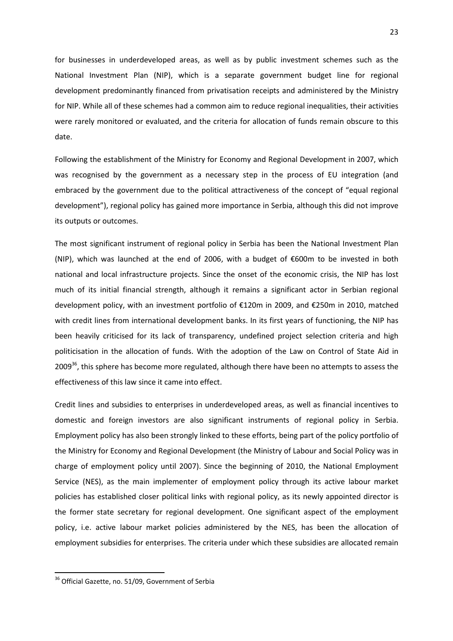for businesses in underdeveloped areas, as well as by public investment schemes such as the National Investment Plan (NIP), which is a separate government budget line for regional development predominantly financed from privatisation receipts and administered by the Ministry for NIP. While all of these schemes had a common aim to reduce regional inequalities, their activities were rarely monitored or evaluated, and the criteria for allocation of funds remain obscure to this date.

Following the establishment of the Ministry for Economy and Regional Development in 2007, which was recognised by the government as a necessary step in the process of EU integration (and embraced by the government due to the political attractiveness of the concept of "equal regional development"), regional policy has gained more importance in Serbia, although this did not improve its outputs or outcomes.

The most significant instrument of regional policy in Serbia has been the National Investment Plan (NIP), which was launched at the end of 2006, with a budget of €600m to be invested in both national and local infrastructure projects. Since the onset of the economic crisis, the NIP has lost much of its initial financial strength, although it remains a significant actor in Serbian regional development policy, with an investment portfolio of €120m in 2009, and €250m in 2010, matched with credit lines from international development banks. In its first years of functioning, the NIP has been heavily criticised for its lack of transparency, undefined project selection criteria and high politicisation in the allocation of funds. With the adoption of the Law on Control of State Aid in 2009<sup>36</sup>, this sphere has become more regulated, although there have been no attempts to assess the effectiveness of this law since it came into effect.

Credit lines and subsidies to enterprises in underdeveloped areas, as well as financial incentives to domestic and foreign investors are also significant instruments of regional policy in Serbia. Employment policy has also been strongly linked to these efforts, being part of the policy portfolio of the Ministry for Economy and Regional Development (the Ministry of Labour and Social Policy was in charge of employment policy until 2007). Since the beginning of 2010, the National Employment Service (NES), as the main implementer of employment policy through its active labour market policies has established closer political links with regional policy, as its newly appointed director is the former state secretary for regional development. One significant aspect of the employment policy, i.e. active labour market policies administered by the NES, has been the allocation of employment subsidies for enterprises. The criteria under which these subsidies are allocated remain

 $\overline{a}$ 

<sup>&</sup>lt;sup>36</sup> Official Gazette, no. 51/09, Government of Serbia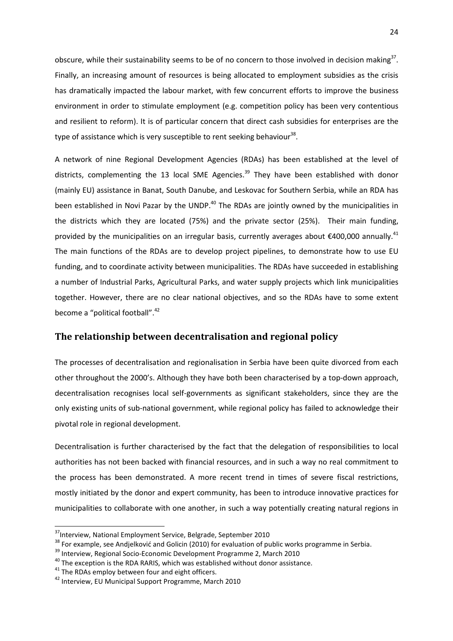obscure, while their sustainability seems to be of no concern to those involved in decision making<sup>37</sup>. Finally, an increasing amount of resources is being allocated to employment subsidies as the crisis has dramatically impacted the labour market, with few concurrent efforts to improve the business environment in order to stimulate employment (e.g. competition policy has been very contentious and resilient to reform). It is of particular concern that direct cash subsidies for enterprises are the type of assistance which is very susceptible to rent seeking behaviour<sup>38</sup>.

A network of nine Regional Development Agencies (RDAs) has been established at the level of districts, complementing the 13 local SME Agencies.<sup>39</sup> They have been established with donor (mainly EU) assistance in Banat, South Danube, and Leskovac for Southern Serbia, while an RDA has been established in Novi Pazar by the UNDP.<sup>40</sup> The RDAs are jointly owned by the municipalities in the districts which they are located (75%) and the private sector (25%). Their main funding, provided by the municipalities on an irregular basis, currently averages about  $\epsilon$ 400,000 annually.<sup>41</sup> The main functions of the RDAs are to develop project pipelines, to demonstrate how to use EU funding, and to coordinate activity between municipalities. The RDAs have succeeded in establishing a number of Industrial Parks, Agricultural Parks, and water supply projects which link municipalities together. However, there are no clear national objectives, and so the RDAs have to some extent become a "political football".<sup>42</sup>

## **The relationship between decentralisation and regional policy**

The processes of decentralisation and regionalisation in Serbia have been quite divorced from each other throughout the 2000's. Although they have both been characterised by a top-down approach, decentralisation recognises local self-governments as significant stakeholders, since they are the only existing units of sub-national government, while regional policy has failed to acknowledge their pivotal role in regional development.

Decentralisation is further characterised by the fact that the delegation of responsibilities to local authorities has not been backed with financial resources, and in such a way no real commitment to the process has been demonstrated. A more recent trend in times of severe fiscal restrictions, mostly initiated by the donor and expert community, has been to introduce innovative practices for municipalities to collaborate with one another, in such a way potentially creating natural regions in

l

<sup>&</sup>lt;sup>37</sup>Interview, National Employment Service, Belgrade, September 2010

<sup>&</sup>lt;sup>38</sup> For example, see Andjelković and Golicin (2010) for evaluation of public works programme in Serbia.

<sup>&</sup>lt;sup>39</sup> Interview, Regional Socio-Economic Development Programme 2, March 2010

 $40$  The exception is the RDA RARIS, which was established without donor assistance.

 $41$  The RDAs employ between four and eight officers.

<sup>42</sup> Interview, EU Municipal Support Programme, March 2010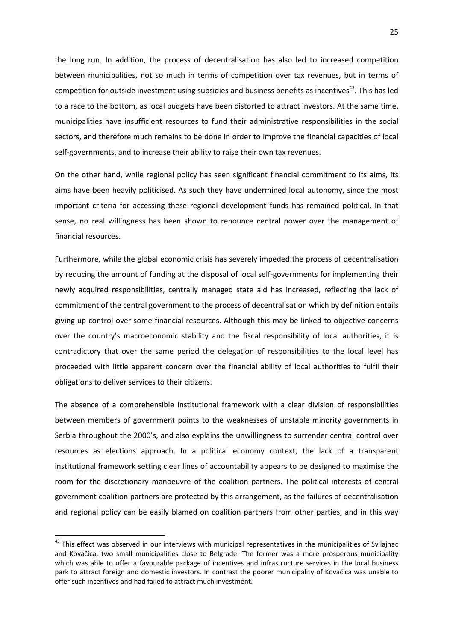the long run. In addition, the process of decentralisation has also led to increased competition between municipalities, not so much in terms of competition over tax revenues, but in terms of competition for outside investment using subsidies and business benefits as incentives<sup>43</sup>. This has led to a race to the bottom, as local budgets have been distorted to attract investors. At the same time, municipalities have insufficient resources to fund their administrative responsibilities in the social sectors, and therefore much remains to be done in order to improve the financial capacities of local self-governments, and to increase their ability to raise their own tax revenues.

On the other hand, while regional policy has seen significant financial commitment to its aims, its aims have been heavily politicised. As such they have undermined local autonomy, since the most important criteria for accessing these regional development funds has remained political. In that sense, no real willingness has been shown to renounce central power over the management of financial resources.

Furthermore, while the global economic crisis has severely impeded the process of decentralisation by reducing the amount of funding at the disposal of local self-governments for implementing their newly acquired responsibilities, centrally managed state aid has increased, reflecting the lack of commitment of the central government to the process of decentralisation which by definition entails giving up control over some financial resources. Although this may be linked to objective concerns over the country's macroeconomic stability and the fiscal responsibility of local authorities, it is contradictory that over the same period the delegation of responsibilities to the local level has proceeded with little apparent concern over the financial ability of local authorities to fulfil their obligations to deliver services to their citizens.

The absence of a comprehensible institutional framework with a clear division of responsibilities between members of government points to the weaknesses of unstable minority governments in Serbia throughout the 2000's, and also explains the unwillingness to surrender central control over resources as elections approach. In a political economy context, the lack of a transparent institutional framework setting clear lines of accountability appears to be designed to maximise the room for the discretionary manoeuvre of the coalition partners. The political interests of central government coalition partners are protected by this arrangement, as the failures of decentralisation and regional policy can be easily blamed on coalition partners from other parties, and in this way

l

<sup>&</sup>lt;sup>43</sup> This effect was observed in our interviews with municipal representatives in the municipalities of Svilajnac and Kovačica, two small municipalities close to Belgrade. The former was a more prosperous municipality which was able to offer a favourable package of incentives and infrastructure services in the local business park to attract foreign and domestic investors. In contrast the poorer municipality of Kovačica was unable to offer such incentives and had failed to attract much investment.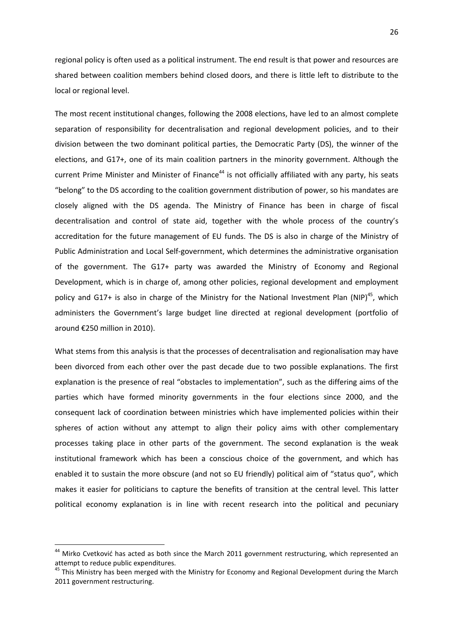regional policy is often used as a political instrument. The end result is that power and resources are shared between coalition members behind closed doors, and there is little left to distribute to the local or regional level.

The most recent institutional changes, following the 2008 elections, have led to an almost complete separation of responsibility for decentralisation and regional development policies, and to their division between the two dominant political parties, the Democratic Party (DS), the winner of the elections, and G17+, one of its main coalition partners in the minority government. Although the current Prime Minister and Minister of Finance<sup>44</sup> is not officially affiliated with any party, his seats "belong" to the DS according to the coalition government distribution of power, so his mandates are closely aligned with the DS agenda. The Ministry of Finance has been in charge of fiscal decentralisation and control of state aid, together with the whole process of the country's accreditation for the future management of EU funds. The DS is also in charge of the Ministry of Public Administration and Local Self-government, which determines the administrative organisation of the government. The G17+ party was awarded the Ministry of Economy and Regional Development, which is in charge of, among other policies, regional development and employment policy and G17+ is also in charge of the Ministry for the National Investment Plan (NIP)<sup>45</sup>, which administers the Government's large budget line directed at regional development (portfolio of around €250 million in 2010).

What stems from this analysis is that the processes of decentralisation and regionalisation may have been divorced from each other over the past decade due to two possible explanations. The first explanation is the presence of real "obstacles to implementation", such as the differing aims of the parties which have formed minority governments in the four elections since 2000, and the consequent lack of coordination between ministries which have implemented policies within their spheres of action without any attempt to align their policy aims with other complementary processes taking place in other parts of the government. The second explanation is the weak institutional framework which has been a conscious choice of the government, and which has enabled it to sustain the more obscure (and not so EU friendly) political aim of "status quo", which makes it easier for politicians to capture the benefits of transition at the central level. This latter political economy explanation is in line with recent research into the political and pecuniary

 $\overline{\phantom{0}}$ 

<sup>&</sup>lt;sup>44</sup> Mirko Cvetković has acted as both since the March 2011 government restructuring, which represented an attempt to reduce public expenditures.

<sup>&</sup>lt;sup>45</sup> This Ministry has been merged with the Ministry for Economy and Regional Development during the March 2011 government restructuring.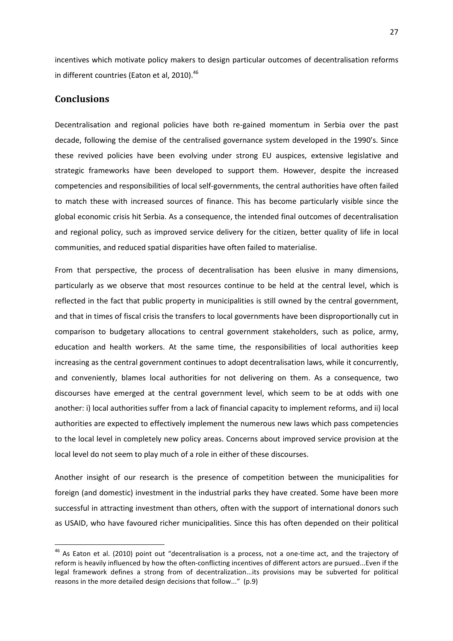incentives which motivate policy makers to design particular outcomes of decentralisation reforms in different countries (Eaton et al, 2010). $46$ 

## **Conclusions**

 $\overline{\phantom{0}}$ 

Decentralisation and regional policies have both re-gained momentum in Serbia over the past decade, following the demise of the centralised governance system developed in the 1990's. Since these revived policies have been evolving under strong EU auspices, extensive legislative and strategic frameworks have been developed to support them. However, despite the increased competencies and responsibilities of local self-governments, the central authorities have often failed to match these with increased sources of finance. This has become particularly visible since the global economic crisis hit Serbia. As a consequence, the intended final outcomes of decentralisation and regional policy, such as improved service delivery for the citizen, better quality of life in local communities, and reduced spatial disparities have often failed to materialise.

From that perspective, the process of decentralisation has been elusive in many dimensions, particularly as we observe that most resources continue to be held at the central level, which is reflected in the fact that public property in municipalities is still owned by the central government, and that in times of fiscal crisis the transfers to local governments have been disproportionally cut in comparison to budgetary allocations to central government stakeholders, such as police, army, education and health workers. At the same time, the responsibilities of local authorities keep increasing as the central government continues to adopt decentralisation laws, while it concurrently, and conveniently, blames local authorities for not delivering on them. As a consequence, two discourses have emerged at the central government level, which seem to be at odds with one another: i) local authorities suffer from a lack of financial capacity to implement reforms, and ii) local authorities are expected to effectively implement the numerous new laws which pass competencies to the local level in completely new policy areas. Concerns about improved service provision at the local level do not seem to play much of a role in either of these discourses.

Another insight of our research is the presence of competition between the municipalities for foreign (and domestic) investment in the industrial parks they have created. Some have been more successful in attracting investment than others, often with the support of international donors such as USAID, who have favoured richer municipalities. Since this has often depended on their political

<sup>&</sup>lt;sup>46</sup> As Eaton et al. (2010) point out "decentralisation is a process, not a one-time act, and the trajectory of reform is heavily influenced by how the often-conflicting incentives of different actors are pursued...Even if the legal framework defines a strong from of decentralization...its provisions may be subverted for political reasons in the more detailed design decisions that follow..." (p.9)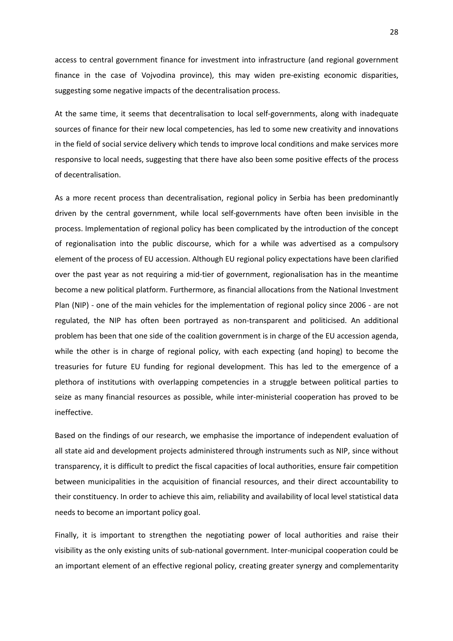access to central government finance for investment into infrastructure (and regional government finance in the case of Vojvodina province), this may widen pre-existing economic disparities, suggesting some negative impacts of the decentralisation process.

At the same time, it seems that decentralisation to local self-governments, along with inadequate sources of finance for their new local competencies, has led to some new creativity and innovations in the field of social service delivery which tends to improve local conditions and make services more responsive to local needs, suggesting that there have also been some positive effects of the process of decentralisation.

As a more recent process than decentralisation, regional policy in Serbia has been predominantly driven by the central government, while local self-governments have often been invisible in the process. Implementation of regional policy has been complicated by the introduction of the concept of regionalisation into the public discourse, which for a while was advertised as a compulsory element of the process of EU accession. Although EU regional policy expectations have been clarified over the past year as not requiring a mid-tier of government, regionalisation has in the meantime become a new political platform. Furthermore, as financial allocations from the National Investment Plan (NIP) - one of the main vehicles for the implementation of regional policy since 2006 - are not regulated, the NIP has often been portrayed as non-transparent and politicised. An additional problem has been that one side of the coalition government is in charge of the EU accession agenda, while the other is in charge of regional policy, with each expecting (and hoping) to become the treasuries for future EU funding for regional development. This has led to the emergence of a plethora of institutions with overlapping competencies in a struggle between political parties to seize as many financial resources as possible, while inter-ministerial cooperation has proved to be ineffective.

Based on the findings of our research, we emphasise the importance of independent evaluation of all state aid and development projects administered through instruments such as NIP, since without transparency, it is difficult to predict the fiscal capacities of local authorities, ensure fair competition between municipalities in the acquisition of financial resources, and their direct accountability to their constituency. In order to achieve this aim, reliability and availability of local level statistical data needs to become an important policy goal.

Finally, it is important to strengthen the negotiating power of local authorities and raise their visibility as the only existing units of sub-national government. Inter-municipal cooperation could be an important element of an effective regional policy, creating greater synergy and complementarity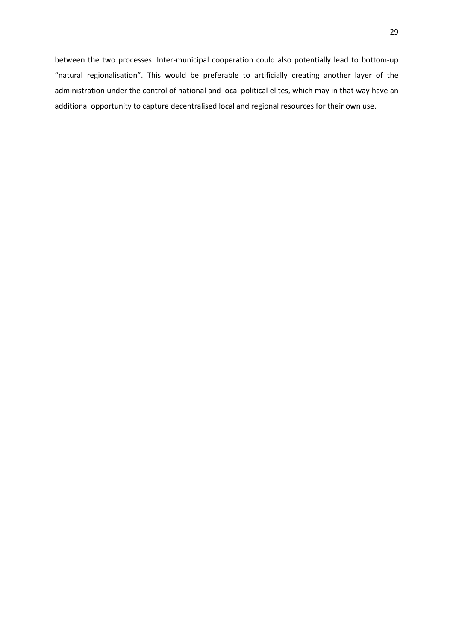between the two processes. Inter-municipal cooperation could also potentially lead to bottom-up "natural regionalisation". This would be preferable to artificially creating another layer of the administration under the control of national and local political elites, which may in that way have an additional opportunity to capture decentralised local and regional resources for their own use.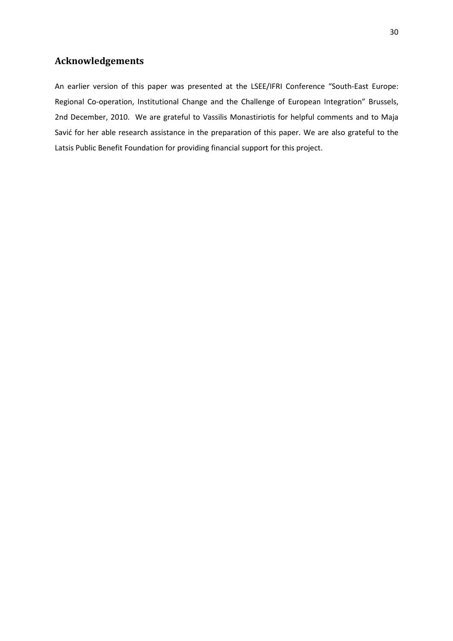## **Acknowledgements**

An earlier version of this paper was presented at the LSEE/IFRI Conference "South-East Europe: Regional Co-operation, Institutional Change and the Challenge of European Integration" Brussels, 2nd December, 2010. We are grateful to Vassilis Monastiriotis for helpful comments and to Maja Savić for her able research assistance in the preparation of this paper. We are also grateful to the Latsis Public Benefit Foundation for providing financial support for this project.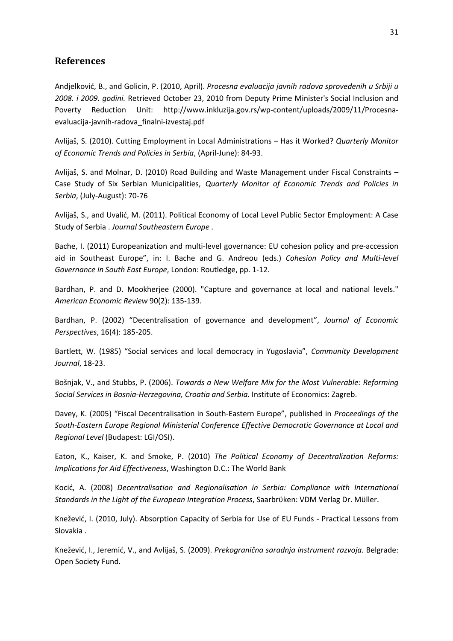## **References**

Andjelković, B., and Golicin, P. (2010, April). *Procesna evaluacija javnih radova sprovedenih u Srbiji u 2008. i 2009. godini.* Retrieved October 23, 2010 from Deputy Prime Minister's Social Inclusion and Poverty Reduction Unit: http://www.inkluzija.gov.rs/wp-content/uploads/2009/11/Procesnaevaluacija-javnih-radova\_finalni-izvestaj.pdf

Avlijaš, S. (2010). Cutting Employment in Local Administrations – Has it Worked? *Quarterly Monitor of Economic Trends and Policies in Serbia*, (April-June): 84-93.

Avlijaš, S. and Molnar, D. (2010) Road Building and Waste Management under Fiscal Constraints – Case Study of Six Serbian Municipalities, *Quarterly Monitor of Economic Trends and Policies in Serbia*, (July-August): 70-76

Avlijaš, S., and Uvalić, M. (2011). Political Economy of Local Level Public Sector Employment: A Case Study of Serbia . *Journal Southeastern Europe* .

Bache, I. (2011) Europeanization and multi-level governance: EU cohesion policy and pre-accession aid in Southeast Europe", in: I. Bache and G. Andreou (eds.) *Cohesion Policy and Multi-level Governance in South East Europe*, London: Routledge, pp. 1-12.

Bardhan, P. and D. Mookherjee (2000). "Capture and governance at local and national levels." *American Economic Review* 90(2): 135-139.

Bardhan, P. (2002) "Decentralisation of governance and development", *Journal of Economic Perspectives*, 16(4): 185-205.

Bartlett, W. (1985) "Social services and local democracy in Yugoslavia", *Community Development Journal*, 18-23.

Bošnjak, V., and Stubbs, P. (2006). *Towards a New Welfare Mix for the Most Vulnerable: Reforming Social Services in Bosnia-Herzegovina, Croatia and Serbia.* Institute of Economics: Zagreb.

Davey, K. (2005) "Fiscal Decentralisation in South-Eastern Europe", published in *Proceedings of the South-Eastern Europe Regional Ministerial Conference Effective Democratic Governance at Local and Regional Level* (Budapest: LGI/OSI).

Eaton, K., Kaiser, K. and Smoke, P. (2010) *The Political Economy of Decentralization Reforms: Implications for Aid Effectiveness*, Washington D.C.: The World Bank

Kocić, A. (2008) *Decentralisation and Regionalisation in Serbia: Compliance with International Standards in the Light of the European Integration Process*, Saarbrϋken: VDM Verlag Dr. Mϋller.

Knežević, I. (2010, July). Absorption Capacity of Serbia for Use of EU Funds - Practical Lessons from Slovakia .

Knežević, I., Jeremić, V., and Avlijaš, S. (2009). *Prekogranična saradnja instrument razvoja.* Belgrade: Open Society Fund.